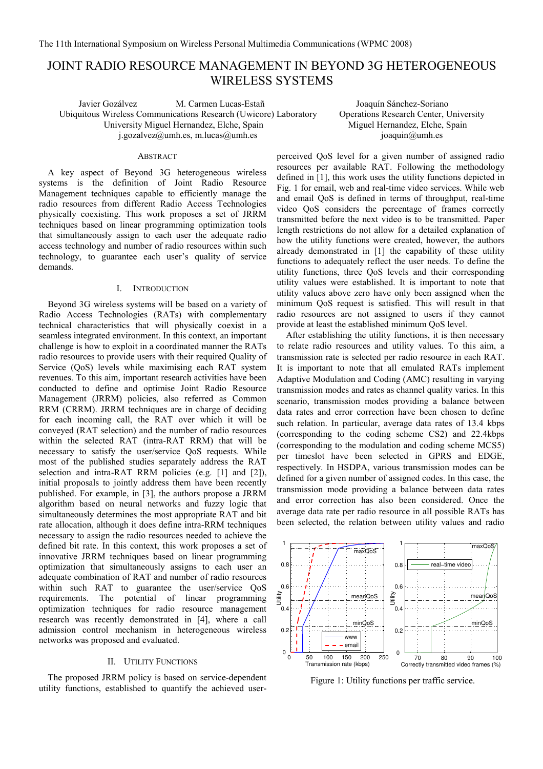# JOINT RADIO RESOURCE MANAGEMENT IN BEYOND 3G HETEROGENEOUS WIRELESS SYSTEMS

Javier Gozálvez M. Carmen Lucas-Estañ Joaquín Sánchez-Soriano Ubiquitous Wireless Communications Research (Uwicore) Laboratory University Miguel Hernandez, Elche, Spain j.gozalvez@umh.es, m.lucas@umh.es

## ABSTRACT

A key aspect of Beyond 3G heterogeneous wireless systems is the definition of Joint Radio Resource Management techniques capable to efficiently manage the radio resources from different Radio Access Technologies physically coexisting. This work proposes a set of JRRM techniques based on linear programming optimization tools that simultaneously assign to each user the adequate radio access technology and number of radio resources within such technology, to guarantee each user's quality of service demands.

# I. INTRODUCTION

Beyond 3G wireless systems will be based on a variety of Radio Access Technologies (RATs) with complementary technical characteristics that will physically coexist in a seamless integrated environment. In this context, an important challenge is how to exploit in a coordinated manner the RATs radio resources to provide users with their required Quality of Service (QoS) levels while maximising each RAT system revenues. To this aim, important research activities have been conducted to define and optimise Joint Radio Resource Management (JRRM) policies, also referred as Common RRM (CRRM). JRRM techniques are in charge of deciding for each incoming call, the RAT over which it will be conveyed (RAT selection) and the number of radio resources within the selected RAT (intra-RAT RRM) that will be necessary to satisfy the user/service QoS requests. While most of the published studies separately address the RAT selection and intra-RAT RRM policies (e.g. [1] and [2]), initial proposals to jointly address them have been recently published. For example, in [3], the authors propose a JRRM algorithm based on neural networks and fuzzy logic that simultaneously determines the most appropriate RAT and bit rate allocation, although it does define intra-RRM techniques necessary to assign the radio resources needed to achieve the defined bit rate. In this context, this work proposes a set of innovative JRRM techniques based on linear programming optimization that simultaneously assigns to each user an adequate combination of RAT and number of radio resources within such RAT to guarantee the user/service QoS requirements. The potential of linear programming optimization techniques for radio resource management research was recently demonstrated in [4], where a call admission control mechanism in heterogeneous wireless networks was proposed and evaluated.

## II. UTILITY FUNCTIONS

The proposed JRRM policy is based on service-dependent utility functions, established to quantify the achieved userOperations Research Center, University Miguel Hernandez, Elche, Spain joaquin@umh.es

perceived QoS level for a given number of assigned radio resources per available RAT. Following the methodology defined in [1], this work uses the utility functions depicted in Fig. 1 for email, web and real-time video services. While web and email QoS is defined in terms of throughput, real-time video QoS considers the percentage of frames correctly transmitted before the next video is to be transmitted. Paper length restrictions do not allow for a detailed explanation of how the utility functions were created, however, the authors already demonstrated in [1] the capability of these utility functions to adequately reflect the user needs. To define the utility functions, three QoS levels and their corresponding utility values were established. It is important to note that utility values above zero have only been assigned when the minimum QoS request is satisfied. This will result in that radio resources are not assigned to users if they cannot provide at least the established minimum QoS level.

After establishing the utility functions, it is then necessary to relate radio resources and utility values. To this aim, a transmission rate is selected per radio resource in each RAT. It is important to note that all emulated RATs implement Adaptive Modulation and Coding (AMC) resulting in varying transmission modes and rates as channel quality varies. In this scenario, transmission modes providing a balance between data rates and error correction have been chosen to define such relation. In particular, average data rates of 13.4 kbps (corresponding to the coding scheme CS2) and 22.4kbps (corresponding to the modulation and coding scheme MCS5) per timeslot have been selected in GPRS and EDGE, respectively. In HSDPA, various transmission modes can be defined for a given number of assigned codes. In this case, the transmission mode providing a balance between data rates and error correction has also been considered. Once the average data rate per radio resource in all possible RATs has been selected, the relation between utility values and radio



Figure 1: Utility functions per traffic service.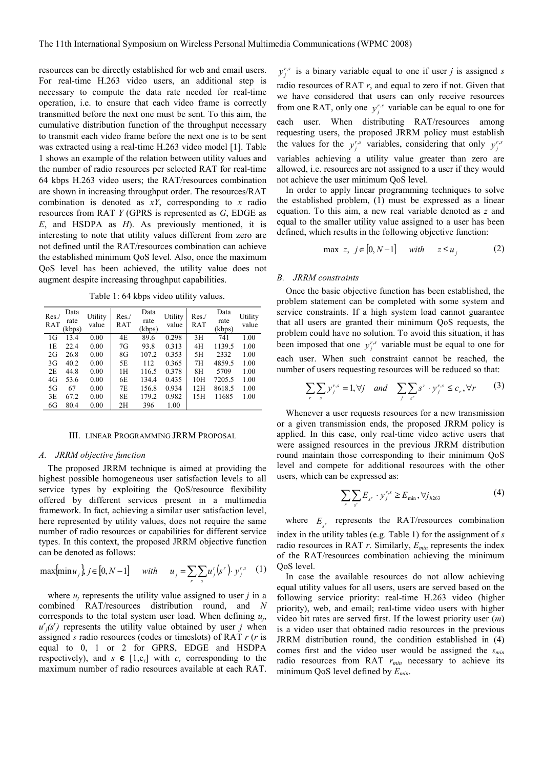resources can be directly established for web and email users. For real-time H.263 video users, an additional step is necessary to compute the data rate needed for real-time operation, i.e. to ensure that each video frame is correctly transmitted before the next one must be sent. To this aim, the cumulative distribution function of the throughput necessary to transmit each video frame before the next one is to be sent was extracted using a real-time H.263 video model [1]. Table 1 shows an example of the relation between utility values and the number of radio resources per selected RAT for real-time 64 kbps H.263 video users; the RAT/resources combination are shown in increasing throughput order. The resources/RAT combination is denoted as  $xY$ , corresponding to x radio resources from RAT  $Y$  (GPRS is represented as  $G$ , EDGE as  $E$ , and HSDPA as  $H$ ). As previously mentioned, it is interesting to note that utility values different from zero are not defined until the RAT/resources combination can achieve the established minimum QoS level. Also, once the maximum QoS level has been achieved, the utility value does not augment despite increasing throughput capabilities.

Table 1: 64 kbps video utility values.

| Res.<br>RAT | Data<br>rate<br>kbps) | Utility<br>value | Res./<br>RAT | Data<br>rate<br>(kbps) | Utility<br>value | Res.<br>RAT | Data<br>rate<br>(kbps) | Utility<br>value |
|-------------|-----------------------|------------------|--------------|------------------------|------------------|-------------|------------------------|------------------|
| 1G          | 13.4                  | 0.00             | 4E           | 89.6                   | 0.298            | 3H          | 741                    | 1.00             |
| 1E          | 22.4                  | 0.00             | 7G           | 93.8                   | 0.313            | 4H          | 1139.5                 | 1.00             |
| 2G          | 26.8                  | 0.00             | 8G           | 107.2                  | 0.353            | 5H          | 2332                   | 1.00             |
| 3G          | 40.2                  | 0.00             | 5E           | 112                    | 0.365            | 7H          | 4859.5                 | 1.00             |
| 2E          | 44.8                  | 0.00             | 1H           | 116.5                  | 0.378            | 8H          | 5709                   | 1.00             |
| 4G          | 53.6                  | 0.00             | 6E           | 134.4                  | 0.435            | 10H         | 7205.5                 | 1.00             |
| 5G          | 67                    | 0.00             | 7E           | 156.8                  | 0.934            | 12H         | 8618.5                 | 1.00             |
| 3E          | 67.2                  | 0.00             | 8E           | 179.2                  | 0.982            | 15H         | 11685                  | 1.00             |
| 6G          | 80.4                  | 0.00             | 2H           | 396                    | 1.00             |             |                        |                  |

## III. LINEAR PROGRAMMING JRRM PROPOSAL

## A. JRRM objective function

The proposed JRRM technique is aimed at providing the highest possible homogeneous user satisfaction levels to all service types by exploiting the QoS/resource flexibility offered by different services present in a multimedia framework. In fact, achieving a similar user satisfaction level, here represented by utility values, does not require the same number of radio resources or capabilities for different service types. In this context, the proposed JRRM objective function can be denoted as follows:

$$
\max{\{minu_j\}}, j \in [0, N-1] \quad with \quad u_j = \sum_{r} \sum_{s} u_j^r (s^r) \cdot y_j^{r,s} \quad (1)
$$

where  $u_j$  represents the utility value assigned to user j in a combined RAT/resources distribution round, and N corresponds to the total system user load. When defining  $u_j$ ,  $u'_{j}(s')$  represents the utility value obtained by user j when assigned s radio resources (codes or timeslots) of RAT  $r(r)$  is equal to 0, 1 or 2 for GPRS, EDGE and HSDPA respectively), and  $s \in [1,c_r]$  with  $c_r$  corresponding to the maximum number of radio resources available at each RAT.

 $y_j^{r,s}$  is a binary variable equal to one if user *j* is assigned *s* radio resources of RAT  $r$ , and equal to zero if not. Given that we have considered that users can only receive resources from one RAT, only one  $y_j^{r,s}$  variable can be equal to one for each user. When distributing RAT/resources among requesting users, the proposed JRRM policy must establish the values for the  $y_j^{r,s}$  variables, considering that only  $y_j^{r,s}$ variables achieving a utility value greater than zero are allowed, i.e. resources are not assigned to a user if they would not achieve the user minimum QoS level.

In order to apply linear programming techniques to solve the established problem, (1) must be expressed as a linear equation. To this aim, a new real variable denoted as z and equal to the smaller utility value assigned to a user has been defined, which results in the following objective function:

$$
\max z, j \in [0, N-1] \quad \text{with} \quad z \le u_j \tag{2}
$$

### B. JRRM constraints

Once the basic objective function has been established, the problem statement can be completed with some system and service constraints. If a high system load cannot guarantee that all users are granted their minimum QoS requests, the problem could have no solution. To avoid this situation, it has been imposed that one  $y_j^{r,s}$  variable must be equal to one for each user. When such constraint cannot be reached, the number of users requesting resources will be reduced so that:

$$
\sum_{r} \sum_{s} y_{j}^{r,s} = 1, \forall j \quad and \quad \sum_{j} \sum_{s'} s^{r} \cdot y_{j}^{r,s} \le c_{r}, \forall r \qquad (3)
$$

Whenever a user requests resources for a new transmission or a given transmission ends, the proposed JRRM policy is applied. In this case, only real-time video active users that were assigned resources in the previous JRRM distribution round maintain those corresponding to their minimum QoS level and compete for additional resources with the other users, which can be expressed as:

$$
\sum_{r} \sum_{s'} E_{s'} \cdot y'^{r,s}_{j} \ge E_{\min}, \forall j_{h263} \tag{4}
$$

where  $E_{s'}$  represents the RAT/resources combination

index in the utility tables (e.g. Table 1) for the assignment of  $s$ radio resources in RAT  $r$ . Similarly,  $E_{min}$  represents the index of the RAT/resources combination achieving the minimum QoS level.

In case the available resources do not allow achieving equal utility values for all users, users are served based on the following service priority: real-time H.263 video (higher priority), web, and email; real-time video users with higher video bit rates are served first. If the lowest priority user  $(m)$ is a video user that obtained radio resources in the previous JRRM distribution round, the condition established in (4) comes first and the video user would be assigned the  $s_{min}$ radio resources from RAT  $r_{min}$  necessary to achieve its minimum QoS level defined by  $E_{min}$ .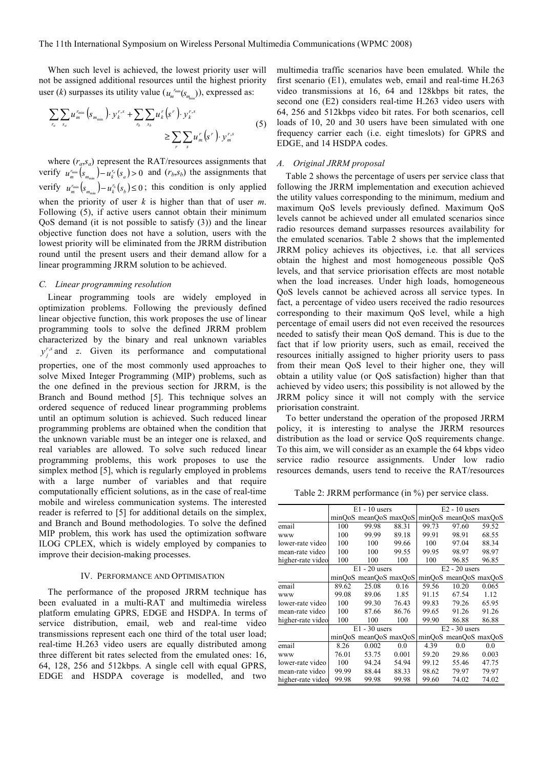When such level is achieved, the lowest priority user will not be assigned additional resources until the highest priority user (*k*) surpasses its utility value ( $u_{m}^{r_{\min}}(s_{m_{\min}})$ ), expressed as:

$$
\sum_{r_a} \sum_{s_a} u_{m}^{r_{\min}} \left( s_{m_{\min}} \right) \cdot y_k^{r,s} + \sum_{r_b} \sum_{s_b} u_k^{r} \left( s^{r} \right) \cdot y_k^{r,s} \ge \sum_{r} \sum_{s} u_m^{r} \left( s^{r} \right) \cdot y_m^{r,s}
$$
(5)

where  $(r_a, s_a)$  represent the RAT/resources assignments that verify  $u_m^{r_{\min}} ( s_{m_{\min}} ) - u_k^{r_a} (s_a) > 0$  and  $(r_b, s_b)$  the assignments that verify  $u_m^{r_{\text{min}}} ( s_{m_{\text{min}}} ) - u_k^{r_b} ( s_b ) \leq 0$ ; this condition is only applied when the priority of user  $k$  is higher than that of user  $m$ . Following (5), if active users cannot obtain their minimum QoS demand (it is not possible to satisfy (3)) and the linear objective function does not have a solution, users with the lowest priority will be eliminated from the JRRM distribution round until the present users and their demand allow for a linear programming JRRM solution to be achieved.

## C. Linear programming resolution

Linear programming tools are widely employed in optimization problems. Following the previously defined linear objective function, this work proposes the use of linear programming tools to solve the defined JRRM problem characterized by the binary and real unknown variables  $y_j^{r,s}$  and z. Given its performance and computational properties, one of the most commonly used approaches to solve Mixed Integer Programming (MIP) problems, such as the one defined in the previous section for JRRM, is the Branch and Bound method [5]. This technique solves an ordered sequence of reduced linear programming problems until an optimum solution is achieved. Such reduced linear programming problems are obtained when the condition that the unknown variable must be an integer one is relaxed, and real variables are allowed. To solve such reduced linear programming problems, this work proposes to use the simplex method [5], which is regularly employed in problems with a large number of variables and that require computationally efficient solutions, as in the case of real-time mobile and wireless communication systems. The interested reader is referred to [5] for additional details on the simplex, and Branch and Bound methodologies. To solve the defined MIP problem, this work has used the optimization software ILOG CPLEX, which is widely employed by companies to improve their decision-making processes.

## IV. PERFORMANCE AND OPTIMISATION

The performance of the proposed JRRM technique has been evaluated in a multi-RAT and multimedia wireless platform emulating GPRS, EDGE and HSDPA. In terms of service distribution, email, web and real-time video transmissions represent each one third of the total user load; real-time H.263 video users are equally distributed among three different bit rates selected from the emulated ones: 16, 64, 128, 256 and 512kbps. A single cell with equal GPRS, EDGE and HSDPA coverage is modelled, and two multimedia traffic scenarios have been emulated. While the first scenario (E1), emulates web, email and real-time H.263 video transmissions at 16, 64 and 128kbps bit rates, the second one (E2) considers real-time H.263 video users with 64, 256 and 512kbps video bit rates. For both scenarios, cell loads of 10, 20 and 30 users have been simulated with one frequency carrier each (i.e. eight timeslots) for GPRS and EDGE, and 14 HSDPA codes.

## A. Original JRRM proposal

Table 2 shows the percentage of users per service class that following the JRRM implementation and execution achieved the utility values corresponding to the minimum, medium and maximum QoS levels previously defined. Maximum QoS levels cannot be achieved under all emulated scenarios since radio resources demand surpasses resources availability for the emulated scenarios. Table 2 shows that the implemented JRRM policy achieves its objectives, i.e. that all services obtain the highest and most homogeneous possible QoS levels, and that service priorisation effects are most notable when the load increases. Under high loads, homogeneous QoS levels cannot be achieved across all service types. In fact, a percentage of video users received the radio resources corresponding to their maximum QoS level, while a high percentage of email users did not even received the resources needed to satisfy their mean QoS demand. This is due to the fact that if low priority users, such as email, received the resources initially assigned to higher priority users to pass from their mean QoS level to their higher one, they will obtain a utility value (or QoS satisfaction) higher than that achieved by video users; this possibility is not allowed by the JRRM policy since it will not comply with the service priorisation constraint.

To better understand the operation of the proposed JRRM policy, it is interesting to analyse the JRRM resources distribution as the load or service QoS requirements change. To this aim, we will consider as an example the 64 kbps video service radio resource assignments. Under low radio resources demands, users tend to receive the RAT/resources

Table 2: JRRM performance (in %) per service class.

|                   |       | $E1 - 10$ users       |       | $E2 - 10$ users |                       |       |
|-------------------|-------|-----------------------|-------|-----------------|-----------------------|-------|
|                   |       | minQoS meanQoS maxQoS |       |                 | minOoS meanOoS maxOoS |       |
| email             | 100   | 99.98                 | 88.31 | 99.73           | 97.60                 | 59.52 |
| <b>WWW</b>        | 100   | 99.99                 | 89.18 | 99.91           | 98.91                 | 68.55 |
| lower-rate video  | 100   | 100                   | 99.66 | 100             | 97.04                 | 88.34 |
| mean-rate video   | 100   | 100                   | 99.55 | 99.95           | 98.97                 | 98.97 |
| higher-rate video | 100   | 100                   | 100   | 100             | 96.85                 | 96.85 |
|                   |       | $E1 - 20$ users       |       |                 | $E2 - 20$ users       |       |
|                   |       | minQoS meanQoS maxQoS |       |                 | minQoS meanQoS maxQoS |       |
| email             | 89.62 | 25.08                 | 0.16  | 59.56           | 10.20                 | 0.065 |
| <b>WWW</b>        | 99.08 | 89.06                 | 1.85  | 91.15           | 67.54                 | 1.12  |
| lower-rate video  | 100   | 99.30                 | 76.43 | 99.83           | 79.26                 | 65.95 |
| mean-rate video   | 100   | 87.66                 | 86.76 | 99.65           | 91.26                 | 91.26 |
| higher-rate video | 100   | 100                   | 100   | 99.90           | 86.88                 | 86.88 |
|                   |       | $E1 - 30$ users       |       |                 | $E2 - 30$ users       |       |
|                   |       | minQoS meanQoS maxQoS |       |                 | minQoS meanQoS maxQoS |       |
| email             | 8.26  | 0.002                 | 0.0   | 4.39            | 0.0                   | 0.0   |
| <b>WWW</b>        | 76.01 | 53.75                 | 0.001 | 59.20           | 29.86                 | 0.003 |
| lower-rate video  | 100   | 94.24                 | 54.94 | 99.12           | 55.46                 | 47.75 |
| mean-rate video   | 99.99 | 88.44                 | 88.33 | 98.62           | 79.97                 | 79.97 |
| higher-rate video | 99.98 | 99.98                 | 99.98 | 99.60           | 74.02                 | 74.02 |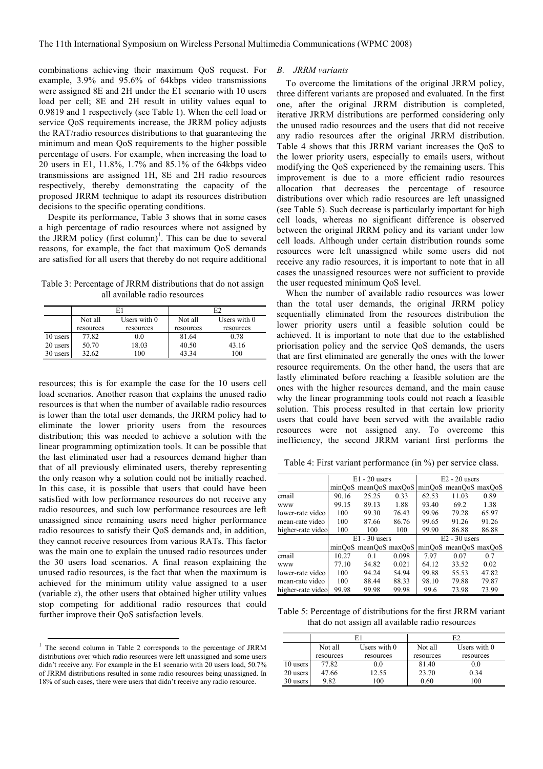combinations achieving their maximum QoS request. For example, 3.9% and 95.6% of 64kbps video transmissions were assigned 8E and 2H under the E1 scenario with 10 users load per cell; 8E and 2H result in utility values equal to 0.9819 and 1 respectively (see Table 1). When the cell load or service QoS requirements increase, the JRRM policy adjusts the RAT/radio resources distributions to that guaranteeing the minimum and mean QoS requirements to the higher possible percentage of users. For example, when increasing the load to 20 users in E1, 11.8%, 1.7% and 85.1% of the 64kbps video transmissions are assigned 1H, 8E and 2H radio resources respectively, thereby demonstrating the capacity of the proposed JRRM technique to adapt its resources distribution decisions to the specific operating conditions.

Despite its performance, Table 3 shows that in some cases a high percentage of radio resources where not assigned by the JRRM policy  $(first column)^1$ . This can be due to several reasons, for example, the fact that maximum QoS demands are satisfied for all users that thereby do not require additional

Table 3: Percentage of JRRM distributions that do not assign all available radio resources

|          |                           |           | E <sub>2</sub> |                |  |
|----------|---------------------------|-----------|----------------|----------------|--|
|          | Not all<br>Users with $0$ |           | Not all        | Users with $0$ |  |
|          | resources                 | resources | resources      | resources      |  |
| 10 users | 77.82                     | 0.0       | 81.64          | 0.78           |  |
| 20 users | 50.70                     | 18.03     | 40.50          | 43.16          |  |
| 30 users | 32.62                     | 100       | 43 34          | 100            |  |

resources; this is for example the case for the 10 users cell load scenarios. Another reason that explains the unused radio resources is that when the number of available radio resources is lower than the total user demands, the JRRM policy had to eliminate the lower priority users from the resources distribution; this was needed to achieve a solution with the linear programming optimization tools. It can be possible that the last eliminated user had a resources demand higher than that of all previously eliminated users, thereby representing the only reason why a solution could not be initially reached. In this case, it is possible that users that could have been satisfied with low performance resources do not receive any radio resources, and such low performance resources are left unassigned since remaining users need higher performance radio resources to satisfy their QoS demands and, in addition, they cannot receive resources from various RATs. This factor was the main one to explain the unused radio resources under the 30 users load scenarios. A final reason explaining the unused radio resources, is the fact that when the maximum is achieved for the minimum utility value assigned to a user (variable z), the other users that obtained higher utility values stop competing for additional radio resources that could further improve their QoS satisfaction levels.

#### B. JRRM variants

To overcome the limitations of the original JRRM policy, three different variants are proposed and evaluated. In the first one, after the original JRRM distribution is completed, iterative JRRM distributions are performed considering only the unused radio resources and the users that did not receive any radio resources after the original JRRM distribution. Table 4 shows that this JRRM variant increases the QoS to the lower priority users, especially to emails users, without modifying the QoS experienced by the remaining users. This improvement is due to a more efficient radio resources allocation that decreases the percentage of resource distributions over which radio resources are left unassigned (see Table 5). Such decrease is particularly important for high cell loads, whereas no significant difference is observed between the original JRRM policy and its variant under low cell loads. Although under certain distribution rounds some resources were left unassigned while some users did not receive any radio resources, it is important to note that in all cases the unassigned resources were not sufficient to provide the user requested minimum QoS level.

When the number of available radio resources was lower than the total user demands, the original JRRM policy sequentially eliminated from the resources distribution the lower priority users until a feasible solution could be achieved. It is important to note that due to the established priorisation policy and the service QoS demands, the users that are first eliminated are generally the ones with the lower resource requirements. On the other hand, the users that are lastly eliminated before reaching a feasible solution are the ones with the higher resources demand, and the main cause why the linear programming tools could not reach a feasible solution. This process resulted in that certain low priority users that could have been served with the available radio resources were not assigned any. To overcome this inefficiency, the second JRRM variant first performs the

Table 4: First variant performance (in %) per service class.

|                   | $E1 - 20$ users |                       |       | $E2 - 20$ users |                       |       |
|-------------------|-----------------|-----------------------|-------|-----------------|-----------------------|-------|
|                   |                 | minOoS meanOoS maxOoS |       |                 | minOoS meanOoS maxOoS |       |
| email             | 90.16           | 25.25                 | 0.33  | 62.53           | 11.03                 | 0.89  |
| <b>WWW</b>        | 99.15           | 89.13                 | 1.88  | 93.40           | 69.2                  | 1.38  |
| lower-rate video  | 100             | 99.30                 | 76.43 | 99.96           | 79.28                 | 65.97 |
| mean-rate video   | 100             | 87.66                 | 86.76 | 99.65           | 91.26                 | 91.26 |
| higher-rate video | 100             | 100                   | 100   | 99.90           | 86.88                 | 86.88 |
|                   |                 | $E1 - 30$ users       |       |                 | $E2 - 30$ users       |       |
|                   |                 | minOoS meanOoS maxOoS |       |                 | minOoS meanOoS maxOoS |       |
| email             | 10.27           | 0.1                   | 0.098 | 7.97            | 0.07                  | 0.7   |
| <b>WWW</b>        | 77.10           | 54.82                 | 0.021 | 64.12           | 33.52                 | 0.02  |
| lower-rate video  | 100             | 94.24                 | 54.94 | 99.88           | 55.53                 | 47.82 |
| mean-rate video   | 100             | 88.44                 | 88.33 | 98.10           | 79.88                 | 79.87 |
| higher-rate video | 99.98           | 99.98                 | 99.98 | 99.6            | 73.98                 | 73.99 |

Table 5: Percentage of distributions for the first JRRM variant that do not assign all available radio resources

|          |                           |           | E2        |                |  |
|----------|---------------------------|-----------|-----------|----------------|--|
|          | Not all<br>Users with $0$ |           | Not all   | Users with $0$ |  |
|          | resources                 | resources | resources | resources      |  |
| 10 users | 77.82                     | 0.0       | 81.40     | 0.0            |  |
| 20 users | 47.66                     | 12.55     | 23.70     | 0.34           |  |
| 30 users | 9.82                      | 100       | 0.60      | 100            |  |

 1 The second column in Table 2 corresponds to the percentage of JRRM distributions over which radio resources were left unassigned and some users didn't receive any. For example in the E1 scenario with 20 users load, 50.7% of JRRM distributions resulted in some radio resources being unassigned. In 18% of such cases, there were users that didn't receive any radio resource.